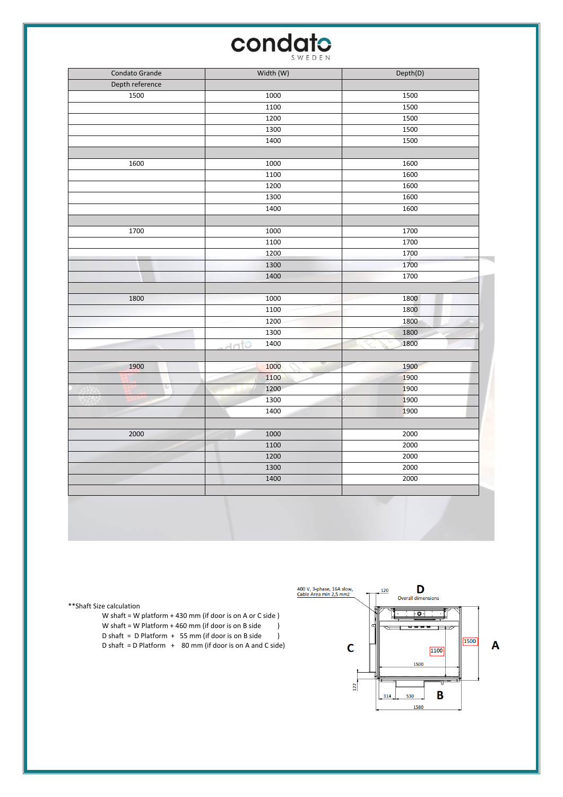## **condato**

| Condato Grande  | Width (W)    | Depth(D) |
|-----------------|--------------|----------|
| Depth reference |              |          |
| 1500            | 1000         | 1500     |
|                 | 1100         | 1500     |
|                 | 1200         | 1500     |
|                 | 1300         | 1500     |
|                 | 1400         | 1500     |
|                 |              |          |
| 1600            | 1000         | 1600     |
|                 | 1100         | 1600     |
|                 | 1200         | 1600     |
|                 | 1300         | 1600     |
|                 | 1400         | 1600     |
|                 |              |          |
| 1700            | 1000         | 1700     |
|                 | 1100         | 1700     |
|                 | 1200         | 1700     |
|                 | 1300         | 1700     |
|                 | 1400         | 1700     |
|                 |              |          |
| 1800            | 1000         | 1800     |
|                 | 1100         | 1800     |
|                 | 1200         | 1800     |
|                 | 1300         | 1800     |
|                 | 1400<br>dato | 1800     |
| 1900            | 1000         | 1900     |
|                 | 1100         | 1900     |
|                 | 1200         | 1900     |
|                 | 1300         | 1900     |
|                 | 1400         | 1900     |
|                 |              |          |
| 2000            | 1000         | 2000     |
|                 | 1100         | 2000     |
|                 | 1200         | 2000     |
|                 | 1300         | 2000     |
|                 | 1400         | 2000     |
|                 |              |          |



\*\*Shaft Size calculation

W shaft = W platform + 430 mm (if door is on A or C side ) W shaft = W Platform + 460 mm (if door is on B side )<br>D shaft = D Platform + 55 mm (if door is on B side ) D shaft =  $D$  Platform + 55 mm (if door is on B side